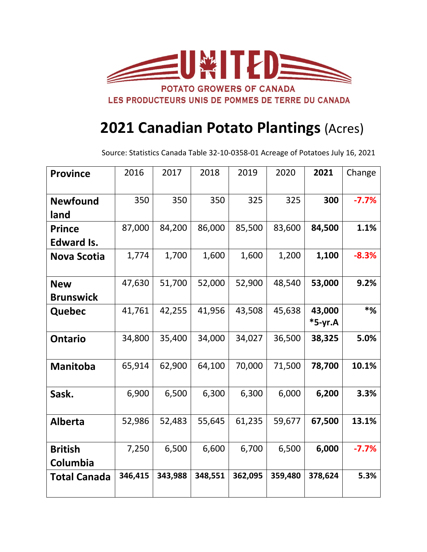

## **2021 Canadian Potato Plantings** (Acres)

Source: Statistics Canada Table 32-10-0358-01 Acreage of Potatoes July 16, 2021

| <b>Province</b>            | 2016    | 2017    | 2018    | 2019    | 2020    | 2021                | Change   |
|----------------------------|---------|---------|---------|---------|---------|---------------------|----------|
|                            |         |         |         |         |         |                     |          |
| <b>Newfound</b>            | 350     | 350     | 350     | 325     | 325     | 300                 | $-7.7%$  |
| land                       |         |         |         |         |         |                     |          |
| <b>Prince</b>              | 87,000  | 84,200  | 86,000  | 85,500  | 83,600  | 84,500              | 1.1%     |
| <b>Edward Is.</b>          |         |         |         |         |         |                     |          |
| <b>Nova Scotia</b>         | 1,774   | 1,700   | 1,600   | 1,600   | 1,200   | 1,100               | $-8.3%$  |
| <b>New</b>                 | 47,630  | 51,700  | 52,000  | 52,900  | 48,540  | 53,000              | 9.2%     |
| <b>Brunswick</b>           |         |         |         |         |         |                     |          |
| Quebec                     | 41,761  | 42,255  | 41,956  | 43,508  | 45,638  | 43,000<br>$*5-yr.A$ | $*_{\%}$ |
| <b>Ontario</b>             | 34,800  | 35,400  | 34,000  | 34,027  | 36,500  | 38,325              | 5.0%     |
| <b>Manitoba</b>            | 65,914  | 62,900  | 64,100  | 70,000  | 71,500  | 78,700              | 10.1%    |
| Sask.                      | 6,900   | 6,500   | 6,300   | 6,300   | 6,000   | 6,200               | 3.3%     |
| <b>Alberta</b>             | 52,986  | 52,483  | 55,645  | 61,235  | 59,677  | 67,500              | 13.1%    |
| <b>British</b><br>Columbia | 7,250   | 6,500   | 6,600   | 6,700   | 6,500   | 6,000               | $-7.7%$  |
| <b>Total Canada</b>        | 346,415 | 343,988 | 348,551 | 362,095 | 359,480 | 378,624             | 5.3%     |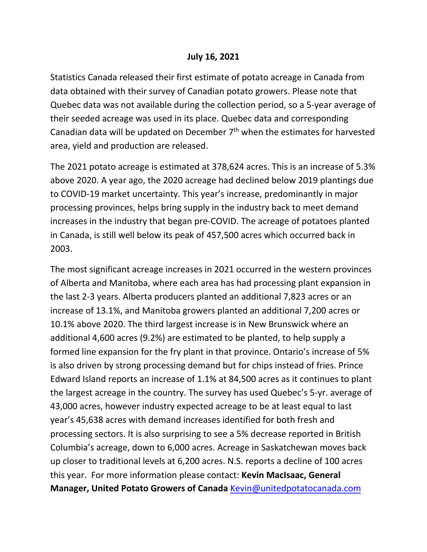## **July 16, 2021**

Statistics Canada released their first estimate of potato acreage in Canada from data obtained with their survey of Canadian potato growers. Please note that Quebec data was not available during the collection period, so a 5-year average of their seeded acreage was used in its place. Quebec data and corresponding Canadian data will be updated on December  $7<sup>th</sup>$  when the estimates for harvested area, yield and production are released.

The 2021 potato acreage is estimated at 378,624 acres. This is an increase of 5.3% above 2020. A year ago, the 2020 acreage had declined below 2019 plantings due to COVID-19 market uncertainty. This year's increase, predominantly in major processing provinces, helps bring supply in the industry back to meet demand increases in the industry that began pre-COVID. The acreage of potatoes planted in Canada, is still well below its peak of 457,500 acres which occurred back in 2003.

The most significant acreage increases in 2021 occurred in the western provinces of Alberta and Manitoba, where each area has had processing plant expansion in the last 2-3 years. Alberta producers planted an additional 7,823 acres or an increase of 13.1%, and Manitoba growers planted an additional 7,200 acres or 10.1% above 2020. The third largest increase is in New Brunswick where an additional 4,600 acres (9.2%) are estimated to be planted, to help supply a formed line expansion for the fry plant in that province. Ontario's increase of 5% is also driven by strong processing demand but for chips instead of fries. Prince Edward Island reports an increase of 1.1% at 84,500 acres as it continues to plant the largest acreage in the country. The survey has used Quebec's 5-yr. average of 43,000 acres, however industry expected acreage to be at least equal to last year's 45,638 acres with demand increases identified for both fresh and processing sectors. It is also surprising to see a 5% decrease reported in British Columbia's acreage, down to 6,000 acres. Acreage in Saskatchewan moves back up closer to traditional levels at 6,200 acres. N.S. reports a decline of 100 acres this year. For more information please contact: **Kevin MacIsaac, General Manager, United Potato Growers of Canada** Kevin@unitedpotatocanada.com